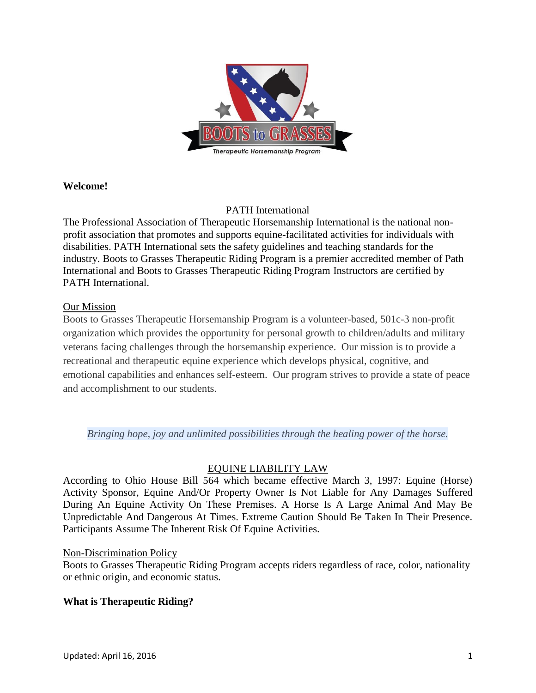

### **Welcome!**

## PATH International

The Professional Association of Therapeutic Horsemanship International is the national nonprofit association that promotes and supports equine-facilitated activities for individuals with disabilities. PATH International sets the safety guidelines and teaching standards for the industry. Boots to Grasses Therapeutic Riding Program is a premier accredited member of Path International and Boots to Grasses Therapeutic Riding Program Instructors are certified by PATH International.

### Our Mission

Boots to Grasses Therapeutic Horsemanship Program is a volunteer-based, 501c-3 non-profit organization which provides the opportunity for personal growth to children/adults and military veterans facing challenges through the horsemanship experience. Our mission is to provide a recreational and therapeutic equine experience which develops physical, cognitive, and emotional capabilities and enhances self-esteem. Our program strives to provide a state of peace and accomplishment to our students.

*Bringing hope, joy and unlimited possibilities through the healing power of the horse.*

# EQUINE LIABILITY LAW

According to Ohio House Bill 564 which became effective March 3, 1997: Equine (Horse) Activity Sponsor, Equine And/Or Property Owner Is Not Liable for Any Damages Suffered During An Equine Activity On These Premises. A Horse Is A Large Animal And May Be Unpredictable And Dangerous At Times. Extreme Caution Should Be Taken In Their Presence. Participants Assume The Inherent Risk Of Equine Activities.

### Non-Discrimination Policy

Boots to Grasses Therapeutic Riding Program accepts riders regardless of race, color, nationality or ethnic origin, and economic status.

# **What is Therapeutic Riding?**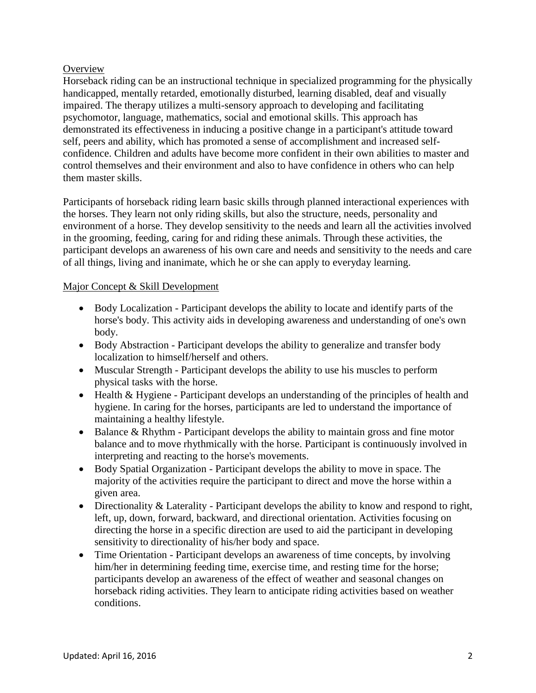## **Overview**

Horseback riding can be an instructional technique in specialized programming for the physically handicapped, mentally retarded, emotionally disturbed, learning disabled, deaf and visually impaired. The therapy utilizes a multi-sensory approach to developing and facilitating psychomotor, language, mathematics, social and emotional skills. This approach has demonstrated its effectiveness in inducing a positive change in a participant's attitude toward self, peers and ability, which has promoted a sense of accomplishment and increased selfconfidence. Children and adults have become more confident in their own abilities to master and control themselves and their environment and also to have confidence in others who can help them master skills.

Participants of horseback riding learn basic skills through planned interactional experiences with the horses. They learn not only riding skills, but also the structure, needs, personality and environment of a horse. They develop sensitivity to the needs and learn all the activities involved in the grooming, feeding, caring for and riding these animals. Through these activities, the participant develops an awareness of his own care and needs and sensitivity to the needs and care of all things, living and inanimate, which he or she can apply to everyday learning.

## Major Concept & Skill Development

- Body Localization Participant develops the ability to locate and identify parts of the horse's body. This activity aids in developing awareness and understanding of one's own body.
- Body Abstraction Participant develops the ability to generalize and transfer body localization to himself/herself and others.
- Muscular Strength Participant develops the ability to use his muscles to perform physical tasks with the horse.
- Health & Hygiene Participant develops an understanding of the principles of health and hygiene. In caring for the horses, participants are led to understand the importance of maintaining a healthy lifestyle.
- $\bullet$  Balance & Rhythm Participant develops the ability to maintain gross and fine motor balance and to move rhythmically with the horse. Participant is continuously involved in interpreting and reacting to the horse's movements.
- Body Spatial Organization Participant develops the ability to move in space. The majority of the activities require the participant to direct and move the horse within a given area.
- Directionality & Laterality Participant develops the ability to know and respond to right, left, up, down, forward, backward, and directional orientation. Activities focusing on directing the horse in a specific direction are used to aid the participant in developing sensitivity to directionality of his/her body and space.
- Time Orientation Participant develops an awareness of time concepts, by involving him/her in determining feeding time, exercise time, and resting time for the horse; participants develop an awareness of the effect of weather and seasonal changes on horseback riding activities. They learn to anticipate riding activities based on weather conditions.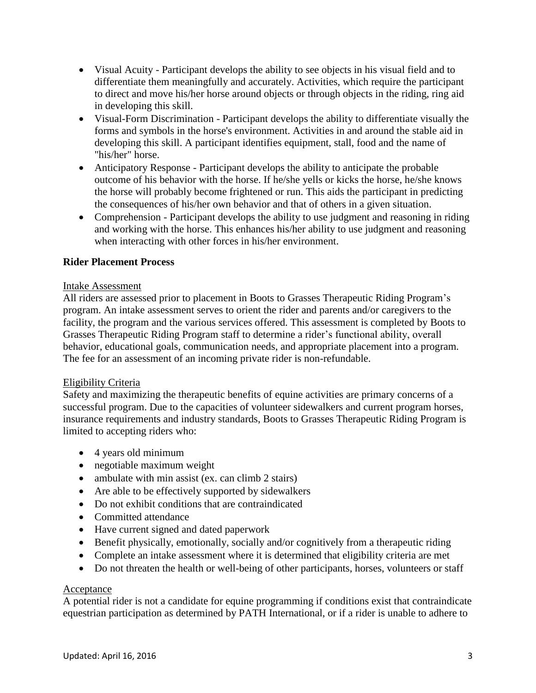- Visual Acuity Participant develops the ability to see objects in his visual field and to differentiate them meaningfully and accurately. Activities, which require the participant to direct and move his/her horse around objects or through objects in the riding, ring aid in developing this skill.
- Visual-Form Discrimination Participant develops the ability to differentiate visually the forms and symbols in the horse's environment. Activities in and around the stable aid in developing this skill. A participant identifies equipment, stall, food and the name of "his/her" horse.
- Anticipatory Response Participant develops the ability to anticipate the probable outcome of his behavior with the horse. If he/she yells or kicks the horse, he/she knows the horse will probably become frightened or run. This aids the participant in predicting the consequences of his/her own behavior and that of others in a given situation.
- Comprehension Participant develops the ability to use judgment and reasoning in riding and working with the horse. This enhances his/her ability to use judgment and reasoning when interacting with other forces in his/her environment.

## **Rider Placement Process**

### Intake Assessment

All riders are assessed prior to placement in Boots to Grasses Therapeutic Riding Program's program. An intake assessment serves to orient the rider and parents and/or caregivers to the facility, the program and the various services offered. This assessment is completed by Boots to Grasses Therapeutic Riding Program staff to determine a rider's functional ability, overall behavior, educational goals, communication needs, and appropriate placement into a program. The fee for an assessment of an incoming private rider is non-refundable.

### Eligibility Criteria

Safety and maximizing the therapeutic benefits of equine activities are primary concerns of a successful program. Due to the capacities of volunteer sidewalkers and current program horses, insurance requirements and industry standards, Boots to Grasses Therapeutic Riding Program is limited to accepting riders who:

- 4 years old minimum
- negotiable maximum weight
- ambulate with min assist (ex. can climb 2 stairs)
- Are able to be effectively supported by sidewalkers
- Do not exhibit conditions that are contraindicated
- Committed attendance
- Have current signed and dated paperwork
- Benefit physically, emotionally, socially and/or cognitively from a therapeutic riding
- Complete an intake assessment where it is determined that eligibility criteria are met
- Do not threaten the health or well-being of other participants, horses, volunteers or staff

### Acceptance

A potential rider is not a candidate for equine programming if conditions exist that contraindicate equestrian participation as determined by PATH International, or if a rider is unable to adhere to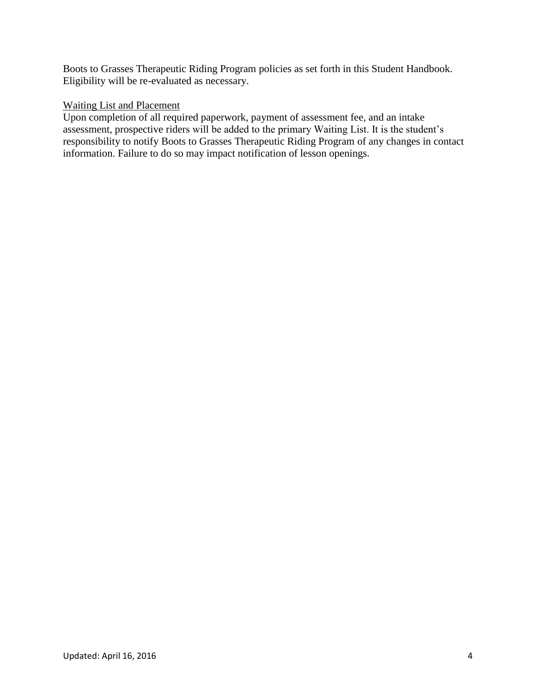Boots to Grasses Therapeutic Riding Program policies as set forth in this Student Handbook. Eligibility will be re-evaluated as necessary.

### Waiting List and Placement

Upon completion of all required paperwork, payment of assessment fee, and an intake assessment, prospective riders will be added to the primary Waiting List. It is the student's responsibility to notify Boots to Grasses Therapeutic Riding Program of any changes in contact information. Failure to do so may impact notification of lesson openings.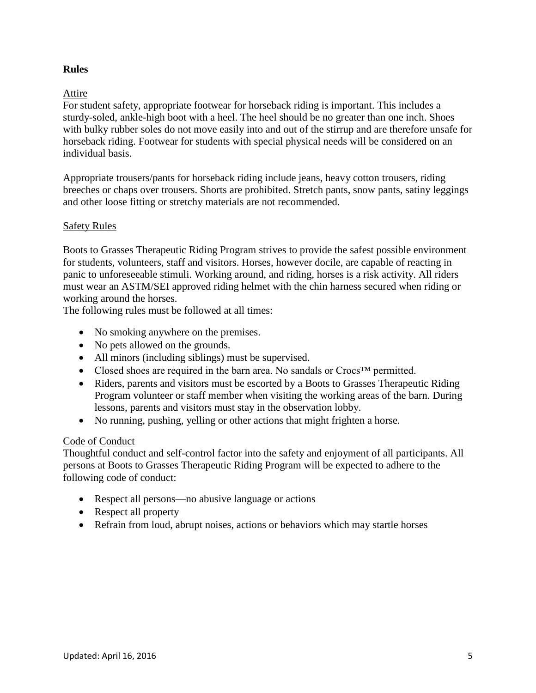## **Rules**

### Attire

For student safety, appropriate footwear for horseback riding is important. This includes a sturdy-soled, ankle-high boot with a heel. The heel should be no greater than one inch. Shoes with bulky rubber soles do not move easily into and out of the stirrup and are therefore unsafe for horseback riding. Footwear for students with special physical needs will be considered on an individual basis.

Appropriate trousers/pants for horseback riding include jeans, heavy cotton trousers, riding breeches or chaps over trousers. Shorts are prohibited. Stretch pants, snow pants, satiny leggings and other loose fitting or stretchy materials are not recommended.

### Safety Rules

Boots to Grasses Therapeutic Riding Program strives to provide the safest possible environment for students, volunteers, staff and visitors. Horses, however docile, are capable of reacting in panic to unforeseeable stimuli. Working around, and riding, horses is a risk activity. All riders must wear an ASTM/SEI approved riding helmet with the chin harness secured when riding or working around the horses.

The following rules must be followed at all times:

- No smoking anywhere on the premises.
- No pets allowed on the grounds.
- All minors (including siblings) must be supervised.
- Closed shoes are required in the barn area. No sandals or Crocs™ permitted.
- Riders, parents and visitors must be escorted by a Boots to Grasses Therapeutic Riding Program volunteer or staff member when visiting the working areas of the barn. During lessons, parents and visitors must stay in the observation lobby.
- No running, pushing, yelling or other actions that might frighten a horse.

### Code of Conduct

Thoughtful conduct and self-control factor into the safety and enjoyment of all participants. All persons at Boots to Grasses Therapeutic Riding Program will be expected to adhere to the following code of conduct:

- Respect all persons—no abusive language or actions
- Respect all property
- Refrain from loud, abrupt noises, actions or behaviors which may startle horses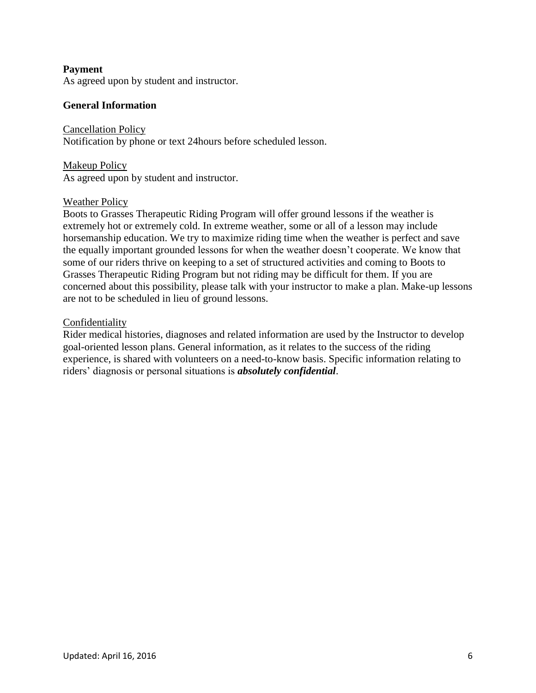### **Payment**

As agreed upon by student and instructor.

#### **General Information**

Cancellation Policy Notification by phone or text 24hours before scheduled lesson.

Makeup Policy As agreed upon by student and instructor.

#### Weather Policy

Boots to Grasses Therapeutic Riding Program will offer ground lessons if the weather is extremely hot or extremely cold. In extreme weather, some or all of a lesson may include horsemanship education. We try to maximize riding time when the weather is perfect and save the equally important grounded lessons for when the weather doesn't cooperate. We know that some of our riders thrive on keeping to a set of structured activities and coming to Boots to Grasses Therapeutic Riding Program but not riding may be difficult for them. If you are concerned about this possibility, please talk with your instructor to make a plan. Make-up lessons are not to be scheduled in lieu of ground lessons.

#### Confidentiality

Rider medical histories, diagnoses and related information are used by the Instructor to develop goal-oriented lesson plans. General information, as it relates to the success of the riding experience, is shared with volunteers on a need-to-know basis. Specific information relating to riders' diagnosis or personal situations is *absolutely confidential*.